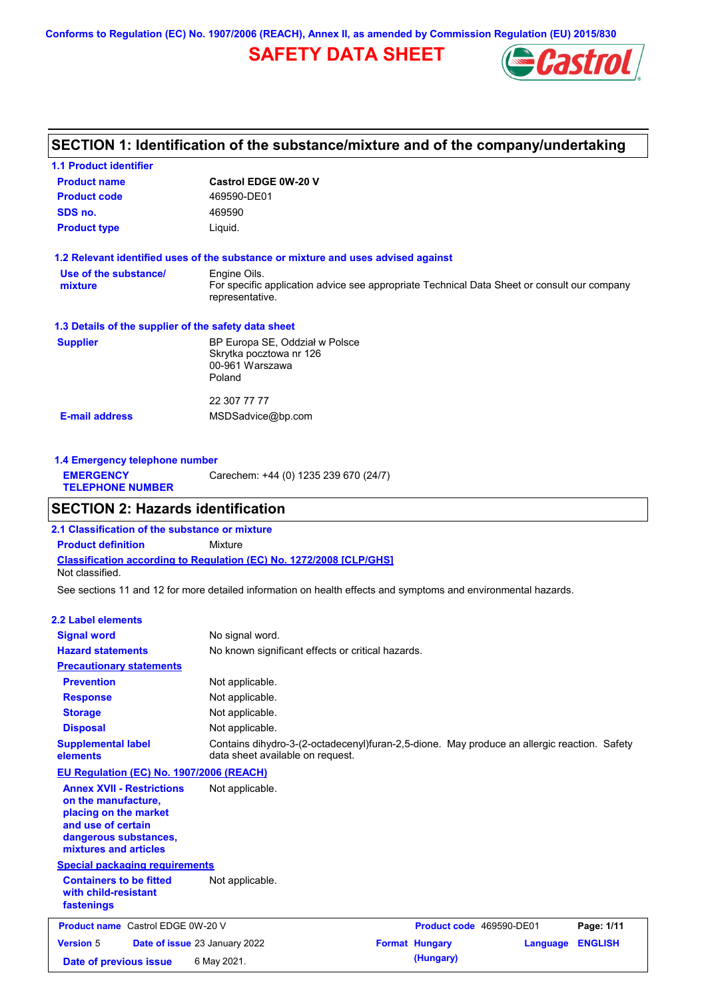**Conforms to Regulation (EC) No. 1907/2006 (REACH), Annex II, as amended by Commission Regulation (EU) 2015/830**

## **SAFETY DATA SHEET**



### **SECTION 1: Identification of the substance/mixture and of the company/undertaking**

| <b>1.1 Product identifier</b>                        |                                                                                                                |
|------------------------------------------------------|----------------------------------------------------------------------------------------------------------------|
| <b>Product name</b>                                  | <b>Castrol EDGE 0W-20 V</b>                                                                                    |
| <b>Product code</b>                                  | 469590-DE01                                                                                                    |
| SDS no.                                              | 469590                                                                                                         |
| <b>Product type</b>                                  | Liquid.                                                                                                        |
|                                                      | 1.2 Relevant identified uses of the substance or mixture and uses advised against                              |
| Use of the substance/                                | Engine Oils.                                                                                                   |
| mixture                                              | For specific application advice see appropriate Technical Data Sheet or consult our company<br>representative. |
| 1.3 Details of the supplier of the safety data sheet |                                                                                                                |
| <b>Supplier</b>                                      | BP Europa SE, Oddział w Polsce                                                                                 |
|                                                      | Skrytka pocztowa nr 126                                                                                        |
|                                                      | 00-961 Warszawa<br>Poland                                                                                      |
|                                                      |                                                                                                                |
|                                                      | 22 307 77 77                                                                                                   |
| <b>E-mail address</b>                                | MSDSadvice@bp.com                                                                                              |
|                                                      |                                                                                                                |
|                                                      |                                                                                                                |

**1.4 Emergency telephone number EMERGENCY TELEPHONE NUMBER** Carechem: +44 (0) 1235 239 670 (24/7)

### **SECTION 2: Hazards identification**

**Classification according to Regulation (EC) No. 1272/2008 [CLP/GHS] 2.1 Classification of the substance or mixture Product definition** Mixture Not classified.

See sections 11 and 12 for more detailed information on health effects and symptoms and environmental hazards.

#### **2.2 Label elements**

| <b>Signal word</b><br><b>Hazard statements</b>                                                                                                           | No signal word.<br>No known significant effects or critical hazards.                                                            |                       |                          |                |
|----------------------------------------------------------------------------------------------------------------------------------------------------------|---------------------------------------------------------------------------------------------------------------------------------|-----------------------|--------------------------|----------------|
| <b>Precautionary statements</b>                                                                                                                          |                                                                                                                                 |                       |                          |                |
| <b>Prevention</b>                                                                                                                                        | Not applicable.                                                                                                                 |                       |                          |                |
| <b>Response</b>                                                                                                                                          | Not applicable.                                                                                                                 |                       |                          |                |
| <b>Storage</b>                                                                                                                                           | Not applicable.                                                                                                                 |                       |                          |                |
| <b>Disposal</b>                                                                                                                                          | Not applicable.                                                                                                                 |                       |                          |                |
| <b>Supplemental label</b><br>elements                                                                                                                    | Contains dihydro-3-(2-octadecenyl)furan-2,5-dione. May produce an allergic reaction. Safety<br>data sheet available on request. |                       |                          |                |
| EU Regulation (EC) No. 1907/2006 (REACH)                                                                                                                 |                                                                                                                                 |                       |                          |                |
| <b>Annex XVII - Restrictions</b><br>on the manufacture.<br>placing on the market<br>and use of certain<br>dangerous substances,<br>mixtures and articles | Not applicable.                                                                                                                 |                       |                          |                |
| <b>Special packaging requirements</b>                                                                                                                    |                                                                                                                                 |                       |                          |                |
| <b>Containers to be fitted</b><br>with child-resistant<br>fastenings                                                                                     | Not applicable.                                                                                                                 |                       |                          |                |
| <b>Product name</b> Castrol EDGE 0W-20 V                                                                                                                 |                                                                                                                                 |                       | Product code 469590-DE01 | Page: 1/11     |
| <b>Version 5</b>                                                                                                                                         | Date of issue 23 January 2022                                                                                                   | <b>Format Hungary</b> | Language                 | <b>ENGLISH</b> |
| Date of previous issue                                                                                                                                   | 6 May 2021.                                                                                                                     | (Hungary)             |                          |                |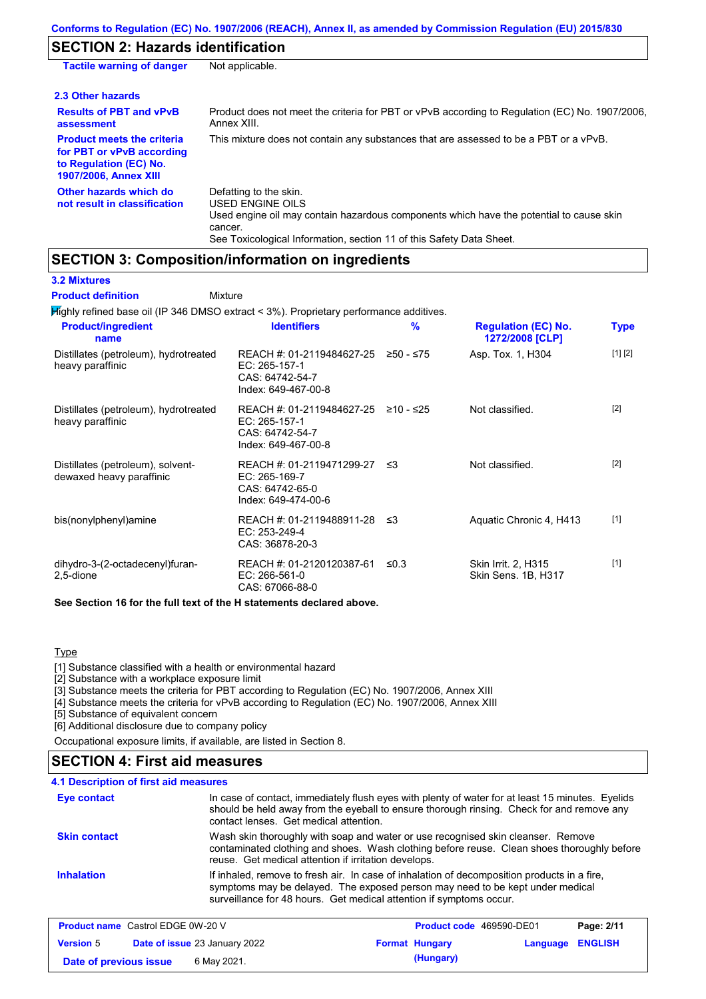## **SECTION 2: Hazards identification**

| <b>Tactile warning of danger</b>                                                                                         | Not applicable.                                                                                                                                                                                                                 |
|--------------------------------------------------------------------------------------------------------------------------|---------------------------------------------------------------------------------------------------------------------------------------------------------------------------------------------------------------------------------|
| 2.3 Other hazards                                                                                                        |                                                                                                                                                                                                                                 |
| <b>Results of PBT and vPvB</b><br>assessment                                                                             | Product does not meet the criteria for PBT or vPvB according to Regulation (EC) No. 1907/2006,<br>Annex XIII.                                                                                                                   |
| <b>Product meets the criteria</b><br>for PBT or vPvB according<br>to Regulation (EC) No.<br><b>1907/2006, Annex XIII</b> | This mixture does not contain any substances that are assessed to be a PBT or a vPvB.                                                                                                                                           |
| Other hazards which do<br>not result in classification                                                                   | Defatting to the skin.<br><b>USED ENGINE OILS</b><br>Used engine oil may contain hazardous components which have the potential to cause skin<br>cancer.<br>See Toxicological Information, section 11 of this Safety Data Sheet. |

## **SECTION 3: Composition/information on ingredients**

**3.2 Mixtures**

Mixture **Product definition**

| $H$ Mighly refined base oil (IP 346 DMSO extract < 3%). Proprietary performance additives. |                                                                                         |            |                                               |             |
|--------------------------------------------------------------------------------------------|-----------------------------------------------------------------------------------------|------------|-----------------------------------------------|-------------|
| <b>Product/ingredient</b><br>name                                                          | <b>Identifiers</b>                                                                      | %          | <b>Regulation (EC) No.</b><br>1272/2008 [CLP] | <b>Type</b> |
| Distillates (petroleum), hydrotreated<br>heavy paraffinic                                  | REACH #: 01-2119484627-25<br>EC: 265-157-1<br>CAS: 64742-54-7<br>Index: 649-467-00-8    | ≥50 - ≤75  | Asp. Tox. 1, H304                             | [1] [2]     |
| Distillates (petroleum), hydrotreated<br>heavy paraffinic                                  | REACH #: 01-2119484627-25<br>EC: 265-157-1<br>CAS: 64742-54-7<br>Index: 649-467-00-8    | ≥10 - ≤25  | Not classified.                               | $[2]$       |
| Distillates (petroleum), solvent-<br>dewaxed heavy paraffinic                              | REACH #: 01-2119471299-27 ≤3<br>EC: 265-169-7<br>CAS: 64742-65-0<br>Index: 649-474-00-6 |            | Not classified.                               | $[2]$       |
| bis(nonylphenyl)amine                                                                      | REACH #: 01-2119488911-28 ≤3<br>EC: 253-249-4<br>CAS: 36878-20-3                        |            | Aquatic Chronic 4, H413                       | $[1]$       |
| dihydro-3-(2-octadecenyl)furan-<br>2,5-dione                                               | REACH #: 01-2120120387-61<br>EC: 266-561-0<br>CAS: 67066-88-0                           | $\leq 0.3$ | Skin Irrit. 2, H315<br>Skin Sens. 1B, H317    | $[1]$       |
| See Section 16 for the full text of the H statements declared above.                       |                                                                                         |            |                                               |             |

#### **Type**

[1] Substance classified with a health or environmental hazard

[2] Substance with a workplace exposure limit

[3] Substance meets the criteria for PBT according to Regulation (EC) No. 1907/2006, Annex XIII

[4] Substance meets the criteria for vPvB according to Regulation (EC) No. 1907/2006, Annex XIII

[5] Substance of equivalent concern

[6] Additional disclosure due to company policy

Occupational exposure limits, if available, are listed in Section 8.

### **SECTION 4: First aid measures**

#### **4.1 Description of first aid measures**

| Eye contact         | In case of contact, immediately flush eyes with plenty of water for at least 15 minutes. Eyelids<br>should be held away from the eyeball to ensure thorough rinsing. Check for and remove any<br>contact lenses. Get medical attention.             |
|---------------------|-----------------------------------------------------------------------------------------------------------------------------------------------------------------------------------------------------------------------------------------------------|
| <b>Skin contact</b> | Wash skin thoroughly with soap and water or use recognised skin cleanser. Remove<br>contaminated clothing and shoes. Wash clothing before reuse. Clean shoes thoroughly before<br>reuse. Get medical attention if irritation develops.              |
| <b>Inhalation</b>   | If inhaled, remove to fresh air. In case of inhalation of decomposition products in a fire,<br>symptoms may be delayed. The exposed person may need to be kept under medical<br>surveillance for 48 hours. Get medical attention if symptoms occur. |

| <b>Product name</b> Castrol EDGE 0W-20 V |  |                                      | Product code 469590-DE01 |                       | Page: 2/11              |  |
|------------------------------------------|--|--------------------------------------|--------------------------|-----------------------|-------------------------|--|
| <b>Version 5</b>                         |  | <b>Date of issue 23 January 2022</b> |                          | <b>Format Hungary</b> | <b>Language ENGLISH</b> |  |
| Date of previous issue                   |  | 6 May 2021.                          |                          | (Hungary)             |                         |  |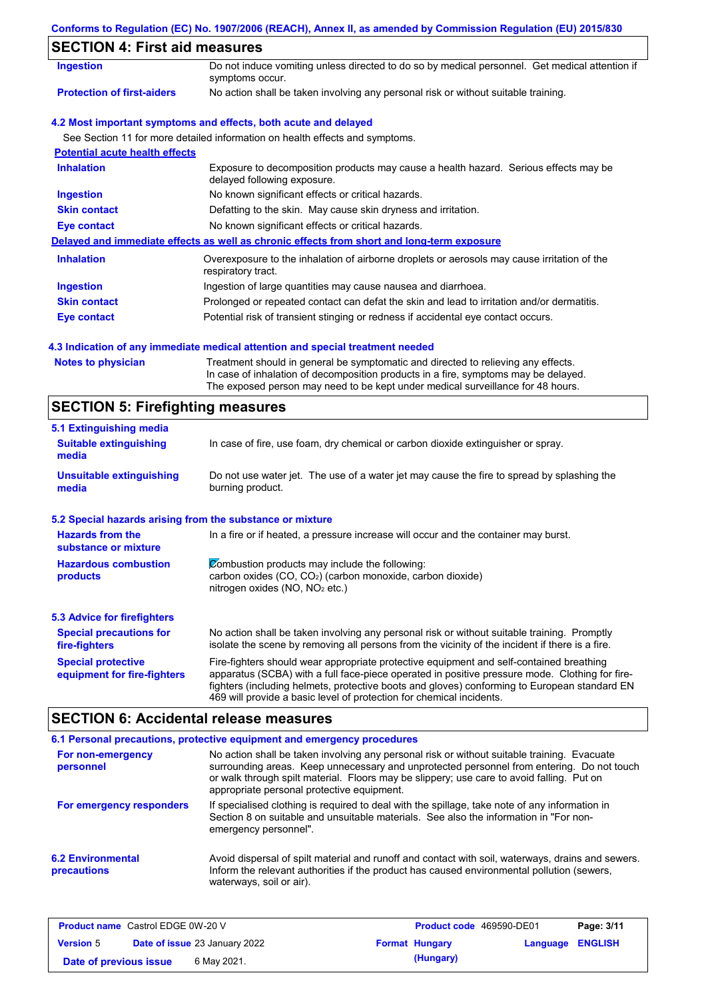|  |  | Conforms to Regulation (EC) No. 1907/2006 (REACH), Annex II, as amended by Commission Regulation (EU) 2015/830 |  |
|--|--|----------------------------------------------------------------------------------------------------------------|--|
|  |  |                                                                                                                |  |

## **SECTION 4: First aid measures**

| 3LV I IVIN 4. I II SL AIU IIIEASUI ES |                                                                                                                     |
|---------------------------------------|---------------------------------------------------------------------------------------------------------------------|
| <b>Ingestion</b>                      | Do not induce vomiting unless directed to do so by medical personnel. Get medical attention if<br>symptoms occur.   |
| <b>Protection of first-aiders</b>     | No action shall be taken involving any personal risk or without suitable training.                                  |
|                                       | 4.2 Most important symptoms and effects, both acute and delayed                                                     |
|                                       | See Section 11 for more detailed information on health effects and symptoms.                                        |
| <b>Potential acute health effects</b> |                                                                                                                     |
| <b>Inhalation</b>                     | Exposure to decomposition products may cause a health hazard. Serious effects may be<br>delayed following exposure. |
| <b>Ingestion</b>                      | No known significant effects or critical hazards.                                                                   |
| <b>Skin contact</b>                   | Defatting to the skin. May cause skin dryness and irritation.                                                       |
| Eye contact                           | No known significant effects or critical hazards.                                                                   |
|                                       | Delayed and immediate effects as well as chronic effects from short and long-term exposure                          |
| <b>Inhalation</b>                     | Overexposure to the inhalation of airborne droplets or aerosols may cause irritation of the<br>respiratory tract.   |
| <b>Ingestion</b>                      | Ingestion of large quantities may cause nausea and diarrhoea.                                                       |
| <b>Skin contact</b>                   | Prolonged or repeated contact can defat the skin and lead to irritation and/or dermatitis.                          |
| Eye contact                           | Potential risk of transient stinging or redness if accidental eye contact occurs.                                   |
|                                       |                                                                                                                     |

### **4.3 Indication of any immediate medical attention and special treatment needed**

| <b>Notes to physician</b> | Treat  |
|---------------------------|--------|
|                           | In cas |
|                           |        |

Iment should in general be symptomatic and directed to relieving any effects. se of inhalation of decomposition products in a fire, symptoms may be delayed. The exposed person may need to be kept under medical surveillance for 48 hours.

# **SECTION 5: Firefighting measures**

| 5.1 Extinguishing media                                   |                                                                                                                                                                                                                                                                                                                                                                   |
|-----------------------------------------------------------|-------------------------------------------------------------------------------------------------------------------------------------------------------------------------------------------------------------------------------------------------------------------------------------------------------------------------------------------------------------------|
| <b>Suitable extinguishing</b><br>media                    | In case of fire, use foam, dry chemical or carbon dioxide extinguisher or spray.                                                                                                                                                                                                                                                                                  |
| <b>Unsuitable extinguishing</b><br>media                  | Do not use water jet. The use of a water jet may cause the fire to spread by splashing the<br>burning product.                                                                                                                                                                                                                                                    |
| 5.2 Special hazards arising from the substance or mixture |                                                                                                                                                                                                                                                                                                                                                                   |
| <b>Hazards from the</b><br>substance or mixture           | In a fire or if heated, a pressure increase will occur and the container may burst.                                                                                                                                                                                                                                                                               |
| <b>Hazardous combustion</b><br>products                   | Combustion products may include the following:<br>carbon oxides $(CO, CO2)$ (carbon monoxide, carbon dioxide)<br>nitrogen oxides ( $NO$ , $NO2$ etc.)                                                                                                                                                                                                             |
| <b>5.3 Advice for firefighters</b>                        |                                                                                                                                                                                                                                                                                                                                                                   |
| <b>Special precautions for</b><br>fire-fighters           | No action shall be taken involving any personal risk or without suitable training. Promptly<br>isolate the scene by removing all persons from the vicinity of the incident if there is a fire.                                                                                                                                                                    |
| <b>Special protective</b><br>equipment for fire-fighters  | Fire-fighters should wear appropriate protective equipment and self-contained breathing<br>apparatus (SCBA) with a full face-piece operated in positive pressure mode. Clothing for fire-<br>fighters (including helmets, protective boots and gloves) conforming to European standard EN<br>469 will provide a basic level of protection for chemical incidents. |

## **SECTION 6: Accidental release measures**

|                                                | 6.1 Personal precautions, protective equipment and emergency procedures                                                                                                                                                                                                                                                             |
|------------------------------------------------|-------------------------------------------------------------------------------------------------------------------------------------------------------------------------------------------------------------------------------------------------------------------------------------------------------------------------------------|
| For non-emergency<br>personnel                 | No action shall be taken involving any personal risk or without suitable training. Evacuate<br>surrounding areas. Keep unnecessary and unprotected personnel from entering. Do not touch<br>or walk through spilt material. Floors may be slippery; use care to avoid falling. Put on<br>appropriate personal protective equipment. |
| For emergency responders                       | If specialised clothing is required to deal with the spillage, take note of any information in<br>Section 8 on suitable and unsuitable materials. See also the information in "For non-<br>emergency personnel".                                                                                                                    |
| <b>6.2 Environmental</b><br><b>precautions</b> | Avoid dispersal of spilt material and runoff and contact with soil, waterways, drains and sewers.<br>Inform the relevant authorities if the product has caused environmental pollution (sewers,<br>waterways, soil or air).                                                                                                         |

| <b>Product name</b> Castrol EDGE 0W-20 V |  |                                      | <b>Product code</b> 469590-DE01 |                       | Page: 3/11              |  |
|------------------------------------------|--|--------------------------------------|---------------------------------|-----------------------|-------------------------|--|
| <b>Version 5</b>                         |  | <b>Date of issue 23 January 2022</b> |                                 | <b>Format Hungary</b> | <b>Language ENGLISH</b> |  |
| Date of previous issue                   |  | 6 May 2021.                          |                                 | (Hungary)             |                         |  |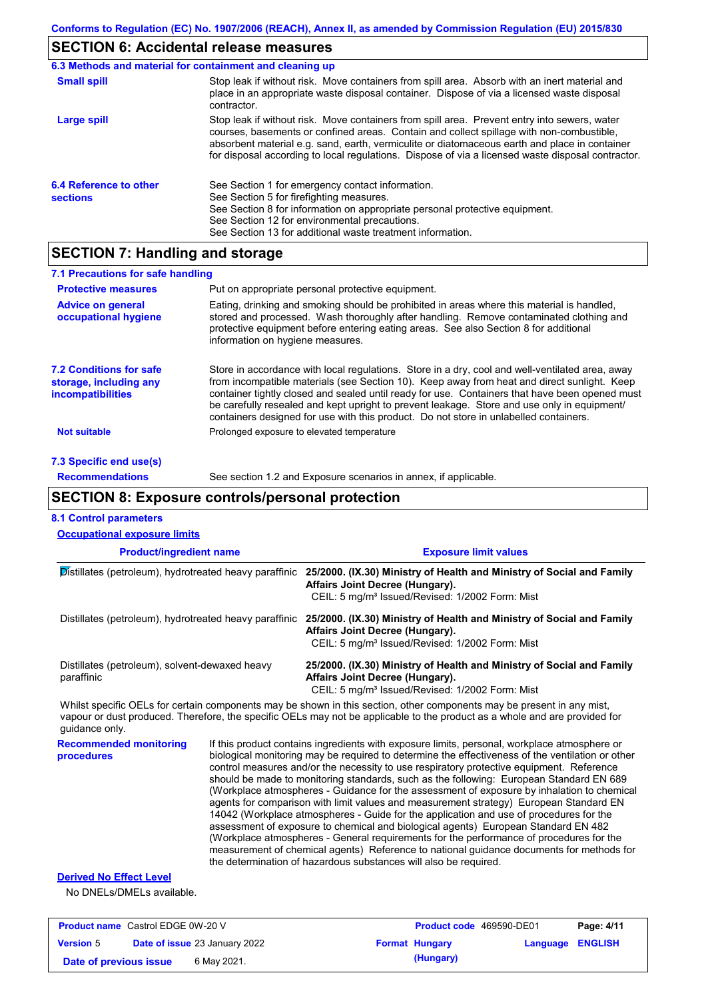# **SECTION 6: Accidental release measures**

|                                           | 6.3 Methods and material for containment and cleaning up                                                                                                                                                                                                                                                                                                                                       |
|-------------------------------------------|------------------------------------------------------------------------------------------------------------------------------------------------------------------------------------------------------------------------------------------------------------------------------------------------------------------------------------------------------------------------------------------------|
| <b>Small spill</b>                        | Stop leak if without risk. Move containers from spill area. Absorb with an inert material and<br>place in an appropriate waste disposal container. Dispose of via a licensed waste disposal<br>contractor.                                                                                                                                                                                     |
| Large spill                               | Stop leak if without risk. Move containers from spill area. Prevent entry into sewers, water<br>courses, basements or confined areas. Contain and collect spillage with non-combustible,<br>absorbent material e.g. sand, earth, vermiculite or diatomaceous earth and place in container<br>for disposal according to local regulations. Dispose of via a licensed waste disposal contractor. |
| 6.4 Reference to other<br><b>sections</b> | See Section 1 for emergency contact information.<br>See Section 5 for firefighting measures.<br>See Section 8 for information on appropriate personal protective equipment.<br>See Section 12 for environmental precautions.<br>See Section 13 for additional waste treatment information.                                                                                                     |

## **SECTION 7: Handling and storage**

| 7.1 Precautions for safe handling                                                    |                                                                                                                                                                                                                                                                                                                                                                                                                                                                                          |
|--------------------------------------------------------------------------------------|------------------------------------------------------------------------------------------------------------------------------------------------------------------------------------------------------------------------------------------------------------------------------------------------------------------------------------------------------------------------------------------------------------------------------------------------------------------------------------------|
| <b>Protective measures</b>                                                           | Put on appropriate personal protective equipment.                                                                                                                                                                                                                                                                                                                                                                                                                                        |
| <b>Advice on general</b><br>occupational hygiene                                     | Eating, drinking and smoking should be prohibited in areas where this material is handled,<br>stored and processed. Wash thoroughly after handling. Remove contaminated clothing and<br>protective equipment before entering eating areas. See also Section 8 for additional<br>information on hygiene measures.                                                                                                                                                                         |
| <b>7.2 Conditions for safe</b><br>storage, including any<br><i>incompatibilities</i> | Store in accordance with local regulations. Store in a dry, cool and well-ventilated area, away<br>from incompatible materials (see Section 10). Keep away from heat and direct sunlight. Keep<br>container tightly closed and sealed until ready for use. Containers that have been opened must<br>be carefully resealed and kept upright to prevent leakage. Store and use only in equipment/<br>containers designed for use with this product. Do not store in unlabelled containers. |
| <b>Not suitable</b>                                                                  | Prolonged exposure to elevated temperature                                                                                                                                                                                                                                                                                                                                                                                                                                               |
| 7.3 Specific end use(s)                                                              |                                                                                                                                                                                                                                                                                                                                                                                                                                                                                          |
| <b>Recommendations</b>                                                               | See section 1.2 and Exposure scenarios in annex, if applicable.                                                                                                                                                                                                                                                                                                                                                                                                                          |

# **SECTION 8: Exposure controls/personal protection**

| <b>8.1 Control parameters</b><br><b>Occupational exposure limits</b> |                                                                                                                                                                                                                                                                                                                                                                                                                                                                                                                                                                                                                                                                                                                                                                                                                                                                                                                                                                                                                            |                                                                                                                                                                                                                                                      |          |                |
|----------------------------------------------------------------------|----------------------------------------------------------------------------------------------------------------------------------------------------------------------------------------------------------------------------------------------------------------------------------------------------------------------------------------------------------------------------------------------------------------------------------------------------------------------------------------------------------------------------------------------------------------------------------------------------------------------------------------------------------------------------------------------------------------------------------------------------------------------------------------------------------------------------------------------------------------------------------------------------------------------------------------------------------------------------------------------------------------------------|------------------------------------------------------------------------------------------------------------------------------------------------------------------------------------------------------------------------------------------------------|----------|----------------|
| <b>Product/ingredient name</b>                                       |                                                                                                                                                                                                                                                                                                                                                                                                                                                                                                                                                                                                                                                                                                                                                                                                                                                                                                                                                                                                                            | <b>Exposure limit values</b>                                                                                                                                                                                                                         |          |                |
| Distillates (petroleum), hydrotreated heavy paraffinic               |                                                                                                                                                                                                                                                                                                                                                                                                                                                                                                                                                                                                                                                                                                                                                                                                                                                                                                                                                                                                                            | 25/2000. (IX.30) Ministry of Health and Ministry of Social and Family<br>Affairs Joint Decree (Hungary).<br>CEIL: 5 mg/m <sup>3</sup> Issued/Revised: 1/2002 Form: Mist                                                                              |          |                |
|                                                                      |                                                                                                                                                                                                                                                                                                                                                                                                                                                                                                                                                                                                                                                                                                                                                                                                                                                                                                                                                                                                                            | Distillates (petroleum), hydrotreated heavy paraffinic 25/2000. (IX.30) Ministry of Health and Ministry of Social and Family<br>Affairs Joint Decree (Hungary).<br>CEIL: 5 mg/m <sup>3</sup> Issued/Revised: 1/2002 Form: Mist                       |          |                |
| Distillates (petroleum), solvent-dewaxed heavy<br>paraffinic         |                                                                                                                                                                                                                                                                                                                                                                                                                                                                                                                                                                                                                                                                                                                                                                                                                                                                                                                                                                                                                            | 25/2000. (IX.30) Ministry of Health and Ministry of Social and Family<br>Affairs Joint Decree (Hungary).<br>CEIL: 5 mg/m <sup>3</sup> Issued/Revised: 1/2002 Form: Mist                                                                              |          |                |
| quidance only.                                                       |                                                                                                                                                                                                                                                                                                                                                                                                                                                                                                                                                                                                                                                                                                                                                                                                                                                                                                                                                                                                                            | Whilst specific OELs for certain components may be shown in this section, other components may be present in any mist,<br>vapour or dust produced. Therefore, the specific OELs may not be applicable to the product as a whole and are provided for |          |                |
| <b>Recommended monitoring</b><br>procedures                          | If this product contains ingredients with exposure limits, personal, workplace atmosphere or<br>biological monitoring may be required to determine the effectiveness of the ventilation or other<br>control measures and/or the necessity to use respiratory protective equipment. Reference<br>should be made to monitoring standards, such as the following: European Standard EN 689<br>(Workplace atmospheres - Guidance for the assessment of exposure by inhalation to chemical<br>agents for comparison with limit values and measurement strategy) European Standard EN<br>14042 (Workplace atmospheres - Guide for the application and use of procedures for the<br>assessment of exposure to chemical and biological agents) European Standard EN 482<br>(Workplace atmospheres - General requirements for the performance of procedures for the<br>measurement of chemical agents) Reference to national guidance documents for methods for<br>the determination of hazardous substances will also be required. |                                                                                                                                                                                                                                                      |          |                |
| <b>Derived No Effect Level</b><br>No DNELs/DMELs available.          |                                                                                                                                                                                                                                                                                                                                                                                                                                                                                                                                                                                                                                                                                                                                                                                                                                                                                                                                                                                                                            |                                                                                                                                                                                                                                                      |          |                |
| <b>Product name</b> Castrol EDGE 0W-20 V                             |                                                                                                                                                                                                                                                                                                                                                                                                                                                                                                                                                                                                                                                                                                                                                                                                                                                                                                                                                                                                                            | Product code 469590-DE01                                                                                                                                                                                                                             |          | Page: 4/11     |
| Date of issue 23 January 2022<br><b>Version</b> 5                    |                                                                                                                                                                                                                                                                                                                                                                                                                                                                                                                                                                                                                                                                                                                                                                                                                                                                                                                                                                                                                            | <b>Format Hungary</b>                                                                                                                                                                                                                                | Language | <b>ENGLISH</b> |

**Date of issue** 23 January 2022 **Format Hungary Language ENGLISH Date of previous issue** 6 May 2021.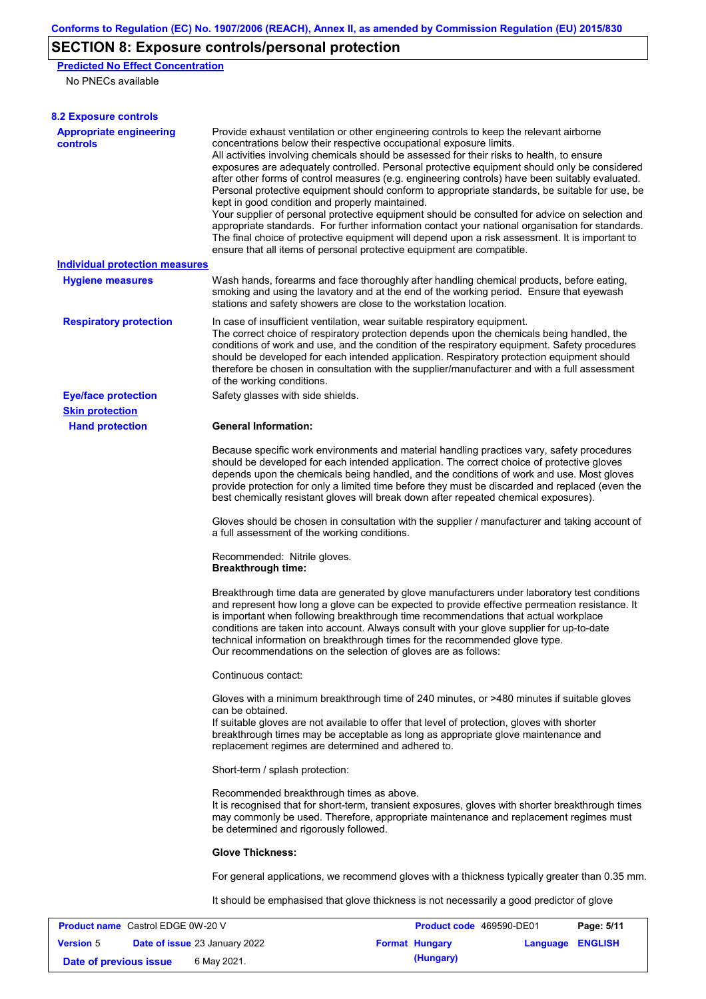# **SECTION 8: Exposure controls/personal protection**

**Predicted No Effect Concentration**

No PNECs available

| <b>8.2 Exposure controls</b>               |                                                                                                                                                                                                                                                                                                                                                                                                                                                                                                                                                                                                                                                                                                                                                                                                                                                                                                                                                                                                         |
|--------------------------------------------|---------------------------------------------------------------------------------------------------------------------------------------------------------------------------------------------------------------------------------------------------------------------------------------------------------------------------------------------------------------------------------------------------------------------------------------------------------------------------------------------------------------------------------------------------------------------------------------------------------------------------------------------------------------------------------------------------------------------------------------------------------------------------------------------------------------------------------------------------------------------------------------------------------------------------------------------------------------------------------------------------------|
| <b>Appropriate engineering</b><br>controls | Provide exhaust ventilation or other engineering controls to keep the relevant airborne<br>concentrations below their respective occupational exposure limits.<br>All activities involving chemicals should be assessed for their risks to health, to ensure<br>exposures are adequately controlled. Personal protective equipment should only be considered<br>after other forms of control measures (e.g. engineering controls) have been suitably evaluated.<br>Personal protective equipment should conform to appropriate standards, be suitable for use, be<br>kept in good condition and properly maintained.<br>Your supplier of personal protective equipment should be consulted for advice on selection and<br>appropriate standards. For further information contact your national organisation for standards.<br>The final choice of protective equipment will depend upon a risk assessment. It is important to<br>ensure that all items of personal protective equipment are compatible. |
| <b>Individual protection measures</b>      |                                                                                                                                                                                                                                                                                                                                                                                                                                                                                                                                                                                                                                                                                                                                                                                                                                                                                                                                                                                                         |
| <b>Hygiene measures</b>                    | Wash hands, forearms and face thoroughly after handling chemical products, before eating,<br>smoking and using the lavatory and at the end of the working period. Ensure that eyewash<br>stations and safety showers are close to the workstation location.                                                                                                                                                                                                                                                                                                                                                                                                                                                                                                                                                                                                                                                                                                                                             |
| <b>Respiratory protection</b>              | In case of insufficient ventilation, wear suitable respiratory equipment.<br>The correct choice of respiratory protection depends upon the chemicals being handled, the<br>conditions of work and use, and the condition of the respiratory equipment. Safety procedures<br>should be developed for each intended application. Respiratory protection equipment should<br>therefore be chosen in consultation with the supplier/manufacturer and with a full assessment<br>of the working conditions.                                                                                                                                                                                                                                                                                                                                                                                                                                                                                                   |
| <b>Eye/face protection</b>                 | Safety glasses with side shields.                                                                                                                                                                                                                                                                                                                                                                                                                                                                                                                                                                                                                                                                                                                                                                                                                                                                                                                                                                       |
| <b>Skin protection</b>                     |                                                                                                                                                                                                                                                                                                                                                                                                                                                                                                                                                                                                                                                                                                                                                                                                                                                                                                                                                                                                         |
| <b>Hand protection</b>                     | <b>General Information:</b>                                                                                                                                                                                                                                                                                                                                                                                                                                                                                                                                                                                                                                                                                                                                                                                                                                                                                                                                                                             |
|                                            | Because specific work environments and material handling practices vary, safety procedures<br>should be developed for each intended application. The correct choice of protective gloves<br>depends upon the chemicals being handled, and the conditions of work and use. Most gloves<br>provide protection for only a limited time before they must be discarded and replaced (even the<br>best chemically resistant gloves will break down after repeated chemical exposures).                                                                                                                                                                                                                                                                                                                                                                                                                                                                                                                        |
|                                            | Gloves should be chosen in consultation with the supplier / manufacturer and taking account of<br>a full assessment of the working conditions.                                                                                                                                                                                                                                                                                                                                                                                                                                                                                                                                                                                                                                                                                                                                                                                                                                                          |
|                                            | Recommended: Nitrile gloves.<br><b>Breakthrough time:</b>                                                                                                                                                                                                                                                                                                                                                                                                                                                                                                                                                                                                                                                                                                                                                                                                                                                                                                                                               |
|                                            | Breakthrough time data are generated by glove manufacturers under laboratory test conditions<br>and represent how long a glove can be expected to provide effective permeation resistance. It<br>is important when following breakthrough time recommendations that actual workplace<br>conditions are taken into account. Always consult with your glove supplier for up-to-date<br>technical information on breakthrough times for the recommended glove type.<br>Our recommendations on the selection of gloves are as follows:                                                                                                                                                                                                                                                                                                                                                                                                                                                                      |
|                                            | Continuous contact:                                                                                                                                                                                                                                                                                                                                                                                                                                                                                                                                                                                                                                                                                                                                                                                                                                                                                                                                                                                     |
|                                            |                                                                                                                                                                                                                                                                                                                                                                                                                                                                                                                                                                                                                                                                                                                                                                                                                                                                                                                                                                                                         |
|                                            | Gloves with a minimum breakthrough time of 240 minutes, or >480 minutes if suitable gloves<br>can be obtained.                                                                                                                                                                                                                                                                                                                                                                                                                                                                                                                                                                                                                                                                                                                                                                                                                                                                                          |
|                                            | If suitable gloves are not available to offer that level of protection, gloves with shorter<br>breakthrough times may be acceptable as long as appropriate glove maintenance and<br>replacement regimes are determined and adhered to.                                                                                                                                                                                                                                                                                                                                                                                                                                                                                                                                                                                                                                                                                                                                                                  |
|                                            | Short-term / splash protection:                                                                                                                                                                                                                                                                                                                                                                                                                                                                                                                                                                                                                                                                                                                                                                                                                                                                                                                                                                         |
|                                            | Recommended breakthrough times as above.<br>It is recognised that for short-term, transient exposures, gloves with shorter breakthrough times<br>may commonly be used. Therefore, appropriate maintenance and replacement regimes must<br>be determined and rigorously followed.                                                                                                                                                                                                                                                                                                                                                                                                                                                                                                                                                                                                                                                                                                                        |
|                                            | <b>Glove Thickness:</b>                                                                                                                                                                                                                                                                                                                                                                                                                                                                                                                                                                                                                                                                                                                                                                                                                                                                                                                                                                                 |
|                                            | For general applications, we recommend gloves with a thickness typically greater than 0.35 mm.                                                                                                                                                                                                                                                                                                                                                                                                                                                                                                                                                                                                                                                                                                                                                                                                                                                                                                          |
|                                            | It should be emphasised that glove thickness is not necessarily a good predictor of glove                                                                                                                                                                                                                                                                                                                                                                                                                                                                                                                                                                                                                                                                                                                                                                                                                                                                                                               |
| <b>Product name</b> Castrol EDGE 0W-20 V   | Product code 469590-DE01<br>Page: 5/11                                                                                                                                                                                                                                                                                                                                                                                                                                                                                                                                                                                                                                                                                                                                                                                                                                                                                                                                                                  |

| <b>Product name</b> Castion EDGE UVV-20 V |                                      | <b>Product code</b> 409090-DEUT |                         | Page: 5/11 |
|-------------------------------------------|--------------------------------------|---------------------------------|-------------------------|------------|
| <b>Version 5</b>                          | <b>Date of issue 23 January 2022</b> | <b>Format Hungary</b>           | <b>Language ENGLISH</b> |            |
| Date of previous issue                    | 6 Mav 2021.                          | (Hungary)                       |                         |            |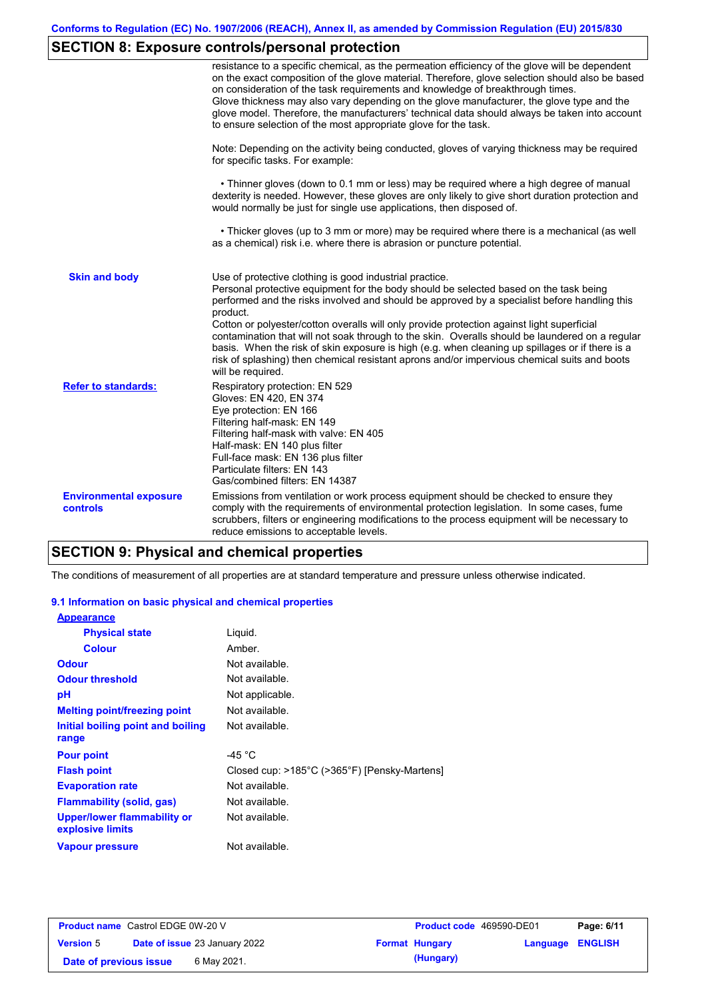# **SECTION 8: Exposure controls/personal protection**

|                                           | resistance to a specific chemical, as the permeation efficiency of the glove will be dependent<br>on the exact composition of the glove material. Therefore, glove selection should also be based<br>on consideration of the task requirements and knowledge of breakthrough times.<br>Glove thickness may also vary depending on the glove manufacturer, the glove type and the<br>glove model. Therefore, the manufacturers' technical data should always be taken into account<br>to ensure selection of the most appropriate glove for the task.                                                                                                                                  |
|-------------------------------------------|---------------------------------------------------------------------------------------------------------------------------------------------------------------------------------------------------------------------------------------------------------------------------------------------------------------------------------------------------------------------------------------------------------------------------------------------------------------------------------------------------------------------------------------------------------------------------------------------------------------------------------------------------------------------------------------|
|                                           | Note: Depending on the activity being conducted, gloves of varying thickness may be required<br>for specific tasks. For example:                                                                                                                                                                                                                                                                                                                                                                                                                                                                                                                                                      |
|                                           | • Thinner gloves (down to 0.1 mm or less) may be required where a high degree of manual<br>dexterity is needed. However, these gloves are only likely to give short duration protection and<br>would normally be just for single use applications, then disposed of.                                                                                                                                                                                                                                                                                                                                                                                                                  |
|                                           | • Thicker gloves (up to 3 mm or more) may be required where there is a mechanical (as well<br>as a chemical) risk i.e. where there is abrasion or puncture potential.                                                                                                                                                                                                                                                                                                                                                                                                                                                                                                                 |
| <b>Skin and body</b>                      | Use of protective clothing is good industrial practice.<br>Personal protective equipment for the body should be selected based on the task being<br>performed and the risks involved and should be approved by a specialist before handling this<br>product.<br>Cotton or polyester/cotton overalls will only provide protection against light superficial<br>contamination that will not soak through to the skin. Overalls should be laundered on a regular<br>basis. When the risk of skin exposure is high (e.g. when cleaning up spillages or if there is a<br>risk of splashing) then chemical resistant aprons and/or impervious chemical suits and boots<br>will be required. |
| <b>Refer to standards:</b>                | Respiratory protection: EN 529<br>Gloves: EN 420, EN 374<br>Eye protection: EN 166<br>Filtering half-mask: EN 149<br>Filtering half-mask with valve: EN 405<br>Half-mask: EN 140 plus filter<br>Full-face mask: EN 136 plus filter<br>Particulate filters: EN 143<br>Gas/combined filters: EN 14387                                                                                                                                                                                                                                                                                                                                                                                   |
| <b>Environmental exposure</b><br>controls | Emissions from ventilation or work process equipment should be checked to ensure they<br>comply with the requirements of environmental protection legislation. In some cases, fume<br>scrubbers, filters or engineering modifications to the process equipment will be necessary to<br>reduce emissions to acceptable levels.                                                                                                                                                                                                                                                                                                                                                         |

### **SECTION 9: Physical and chemical properties**

The conditions of measurement of all properties are at standard temperature and pressure unless otherwise indicated.

### **9.1 Information on basic physical and chemical properties**

| <b>Appearance</b>                                      |                                              |
|--------------------------------------------------------|----------------------------------------------|
| <b>Physical state</b>                                  | Liquid.                                      |
| <b>Colour</b>                                          | Amber                                        |
| <b>Odour</b>                                           | Not available.                               |
| <b>Odour threshold</b>                                 | Not available.                               |
| рH                                                     | Not applicable.                              |
| <b>Melting point/freezing point</b>                    | Not available.                               |
| Initial boiling point and boiling                      | Not available.                               |
| range                                                  |                                              |
| <b>Pour point</b>                                      | -45 °C                                       |
| <b>Flash point</b>                                     | Closed cup: >185°C (>365°F) [Pensky-Martens] |
| <b>Evaporation rate</b>                                | Not available.                               |
| Flammability (solid, gas)                              | Not available.                               |
| <b>Upper/lower flammability or</b><br>explosive limits | Not available.                               |
| Vapour pressure                                        | Not available.                               |

| <b>Product name</b> Castrol EDGE 0W-20 V |                                      | <b>Product code</b> 469590-DE01 |                         | Page: 6/11 |
|------------------------------------------|--------------------------------------|---------------------------------|-------------------------|------------|
| <b>Version 5</b>                         | <b>Date of issue 23 January 2022</b> | <b>Format Hungary</b>           | <b>Language ENGLISH</b> |            |
| Date of previous issue                   | 6 May 2021.                          | (Hungary)                       |                         |            |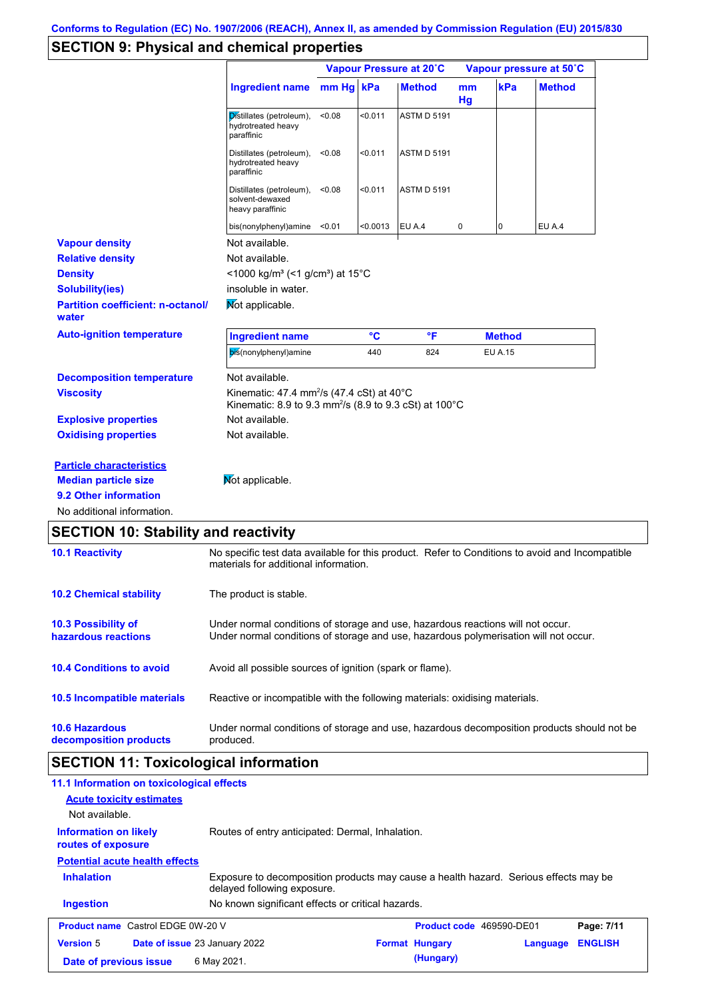# **SECTION 9: Physical and chemical properties**

|                                                                |                                                                                                                                                                         |        | Vapour Pressure at 20°C |                    |          | Vapour pressure at 50°C |               |  |
|----------------------------------------------------------------|-------------------------------------------------------------------------------------------------------------------------------------------------------------------------|--------|-------------------------|--------------------|----------|-------------------------|---------------|--|
|                                                                | Ingredient name mm Hg kPa                                                                                                                                               |        |                         | <b>Method</b>      | mm<br>Hg | kPa                     | <b>Method</b> |  |
|                                                                | Distillates (petroleum),<br>hydrotreated heavy<br>paraffinic                                                                                                            | <0.08  | < 0.011                 | <b>ASTM D 5191</b> |          |                         |               |  |
|                                                                | Distillates (petroleum),<br>hydrotreated heavy<br>paraffinic                                                                                                            | < 0.08 | < 0.011                 | <b>ASTM D 5191</b> |          |                         |               |  |
|                                                                | Distillates (petroleum),<br>solvent-dewaxed<br>heavy paraffinic                                                                                                         | < 0.08 | < 0.011                 | <b>ASTM D 5191</b> |          |                         |               |  |
|                                                                | bis(nonylphenyl)amine <0.01                                                                                                                                             |        | < 0.0013                | EU A.4             | 0        | 0                       | <b>EU A.4</b> |  |
| <b>Vapour density</b>                                          | Not available.                                                                                                                                                          |        |                         |                    |          |                         |               |  |
| <b>Relative density</b>                                        | Not available.                                                                                                                                                          |        |                         |                    |          |                         |               |  |
| <b>Density</b>                                                 | <1000 kg/m <sup>3</sup> (<1 g/cm <sup>3</sup> ) at 15 <sup>°</sup> C                                                                                                    |        |                         |                    |          |                         |               |  |
| <b>Solubility(ies)</b>                                         | insoluble in water.                                                                                                                                                     |        |                         |                    |          |                         |               |  |
| <b>Partition coefficient: n-octanol/</b><br>water              | Not applicable.                                                                                                                                                         |        |                         |                    |          |                         |               |  |
| <b>Auto-ignition temperature</b>                               | <b>Ingredient name</b>                                                                                                                                                  |        | °C                      | °F                 |          | <b>Method</b>           |               |  |
|                                                                | bis(nonylphenyl)amine                                                                                                                                                   |        | 440                     | 824                |          | <b>EU A.15</b>          |               |  |
| <b>Decomposition temperature</b>                               | Not available.                                                                                                                                                          |        |                         |                    |          |                         |               |  |
| <b>Viscosity</b>                                               | Kinematic: 47.4 mm <sup>2</sup> /s (47.4 cSt) at $40^{\circ}$ C<br>Kinematic: 8.9 to 9.3 mm <sup>2</sup> /s (8.9 to 9.3 cSt) at 100 $^{\circ}$ C                        |        |                         |                    |          |                         |               |  |
| <b>Explosive properties</b>                                    | Not available.                                                                                                                                                          |        |                         |                    |          |                         |               |  |
| <b>Oxidising properties</b>                                    | Not available.                                                                                                                                                          |        |                         |                    |          |                         |               |  |
| <b>Particle characteristics</b><br><b>Median particle size</b> | Mot applicable.                                                                                                                                                         |        |                         |                    |          |                         |               |  |
| 9.2 Other information                                          |                                                                                                                                                                         |        |                         |                    |          |                         |               |  |
| No additional information.                                     |                                                                                                                                                                         |        |                         |                    |          |                         |               |  |
| <b>SECTION 10: Stability and reactivity</b>                    |                                                                                                                                                                         |        |                         |                    |          |                         |               |  |
| <b>10.1 Reactivity</b>                                         | No specific test data available for this product. Refer to Conditions to avoid and Incompatible<br>materials for additional information.                                |        |                         |                    |          |                         |               |  |
| <b>10.2 Chemical stability</b>                                 | The product is stable.                                                                                                                                                  |        |                         |                    |          |                         |               |  |
| <b>10.3 Possibility of</b><br>hazardous reactions              | Under normal conditions of storage and use, hazardous reactions will not occur.<br>Under normal conditions of storage and use, hazardous polymerisation will not occur. |        |                         |                    |          |                         |               |  |
| <b>10.4 Conditions to avoid</b>                                | Avoid all possible sources of ignition (spark or flame).                                                                                                                |        |                         |                    |          |                         |               |  |
| 10.5 Incompatible materials                                    | Reactive or incompatible with the following materials: oxidising materials.                                                                                             |        |                         |                    |          |                         |               |  |

**10.6 Hazardous decomposition products** Under normal conditions of storage and use, hazardous decomposition products should not be produced.

# **SECTION 11: Toxicological information**

| 11.1 Information on toxicological effects<br><b>Acute toxicity estimates</b><br>Not available. |                                                                                                                     |                          |          |                |
|------------------------------------------------------------------------------------------------|---------------------------------------------------------------------------------------------------------------------|--------------------------|----------|----------------|
| <b>Information on likely</b><br>routes of exposure                                             | Routes of entry anticipated: Dermal, Inhalation.                                                                    |                          |          |                |
| <b>Potential acute health effects</b>                                                          |                                                                                                                     |                          |          |                |
| <b>Inhalation</b>                                                                              | Exposure to decomposition products may cause a health hazard. Serious effects may be<br>delayed following exposure. |                          |          |                |
| <b>Ingestion</b>                                                                               | No known significant effects or critical hazards.                                                                   |                          |          |                |
| <b>Product name</b> Castrol EDGE 0W-20 V                                                       |                                                                                                                     | Product code 469590-DE01 |          | Page: 7/11     |
| <b>Version 5</b><br><b>Date of issue 23 January 2022</b>                                       |                                                                                                                     | <b>Format Hungary</b>    | Language | <b>ENGLISH</b> |
| Date of previous issue                                                                         | 6 May 2021.                                                                                                         | (Hungary)                |          |                |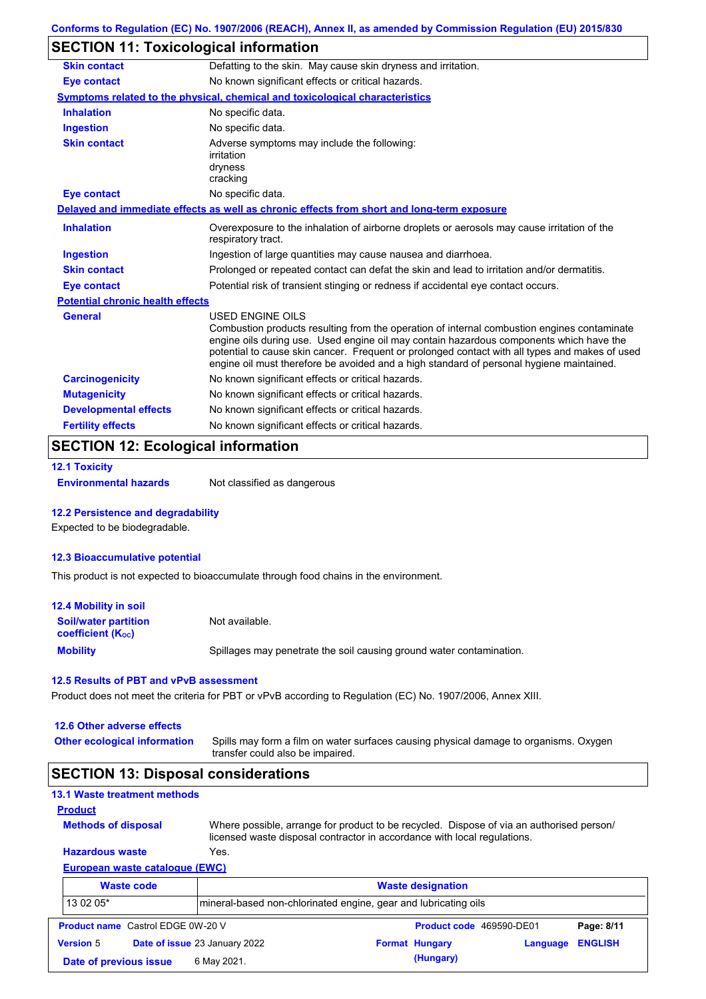# **SECTION 11: Toxicological information**

| <b>Skin contact</b>                     | Defatting to the skin. May cause skin dryness and irritation.                                                                                                                                                                                                                                                                                                                                                   |
|-----------------------------------------|-----------------------------------------------------------------------------------------------------------------------------------------------------------------------------------------------------------------------------------------------------------------------------------------------------------------------------------------------------------------------------------------------------------------|
| <b>Eye contact</b>                      | No known significant effects or critical hazards.                                                                                                                                                                                                                                                                                                                                                               |
|                                         | Symptoms related to the physical, chemical and toxicological characteristics                                                                                                                                                                                                                                                                                                                                    |
| <b>Inhalation</b>                       | No specific data.                                                                                                                                                                                                                                                                                                                                                                                               |
| <b>Ingestion</b>                        | No specific data.                                                                                                                                                                                                                                                                                                                                                                                               |
| <b>Skin contact</b>                     | Adverse symptoms may include the following:<br>irritation<br>dryness<br>cracking                                                                                                                                                                                                                                                                                                                                |
| <b>Eye contact</b>                      | No specific data.                                                                                                                                                                                                                                                                                                                                                                                               |
|                                         | Delayed and immediate effects as well as chronic effects from short and long-term exposure                                                                                                                                                                                                                                                                                                                      |
| <b>Inhalation</b>                       | Overexposure to the inhalation of airborne droplets or aerosols may cause irritation of the<br>respiratory tract.                                                                                                                                                                                                                                                                                               |
| <b>Ingestion</b>                        | Ingestion of large quantities may cause nausea and diarrhoea.                                                                                                                                                                                                                                                                                                                                                   |
| <b>Skin contact</b>                     | Prolonged or repeated contact can defat the skin and lead to irritation and/or dermatitis.                                                                                                                                                                                                                                                                                                                      |
| <b>Eye contact</b>                      | Potential risk of transient stinging or redness if accidental eye contact occurs.                                                                                                                                                                                                                                                                                                                               |
| <b>Potential chronic health effects</b> |                                                                                                                                                                                                                                                                                                                                                                                                                 |
| <b>General</b>                          | <b>USED ENGINE OILS</b><br>Combustion products resulting from the operation of internal combustion engines contaminate<br>engine oils during use. Used engine oil may contain hazardous components which have the<br>potential to cause skin cancer. Frequent or prolonged contact with all types and makes of used<br>engine oil must therefore be avoided and a high standard of personal hygiene maintained. |
| <b>Carcinogenicity</b>                  | No known significant effects or critical hazards.                                                                                                                                                                                                                                                                                                                                                               |
| <b>Mutagenicity</b>                     | No known significant effects or critical hazards.                                                                                                                                                                                                                                                                                                                                                               |
| <b>Developmental effects</b>            | No known significant effects or critical hazards.                                                                                                                                                                                                                                                                                                                                                               |
| <b>Fertility effects</b>                | No known significant effects or critical hazards.                                                                                                                                                                                                                                                                                                                                                               |

### **SECTION 12: Ecological information**

```
12.1 Toxicity
```
**Environmental hazards** Not classified as dangerous

#### **12.2 Persistence and degradability**

Expected to be biodegradable.

#### **12.3 Bioaccumulative potential**

This product is not expected to bioaccumulate through food chains in the environment.

| <b>12.4 Mobility in soil</b>                                  |                                                                      |
|---------------------------------------------------------------|----------------------------------------------------------------------|
| <b>Soil/water partition</b><br>coefficient (K <sub>oc</sub> ) | Not available.                                                       |
| <b>Mobility</b>                                               | Spillages may penetrate the soil causing ground water contamination. |

#### **12.5 Results of PBT and vPvB assessment**

Product does not meet the criteria for PBT or vPvB according to Regulation (EC) No. 1907/2006, Annex XIII.

#### **12.6 Other adverse effects**

**Other ecological information**

Spills may form a film on water surfaces causing physical damage to organisms. Oxygen transfer could also be impaired.

### **SECTION 13: Disposal considerations**

### **13.1 Waste treatment methods**

**Methods of disposal**

**Product**

Where possible, arrange for product to be recycled. Dispose of via an authorised person/ licensed waste disposal contractor in accordance with local regulations.

#### **European waste catalogue (EWC) Hazardous waste** Yes.

|                  | <b>Waste code</b>                        | <b>Waste designation</b>                                        |  |                       |                          |                |
|------------------|------------------------------------------|-----------------------------------------------------------------|--|-----------------------|--------------------------|----------------|
| 13 02 05*        |                                          | mineral-based non-chlorinated engine, gear and lubricating oils |  |                       |                          |                |
|                  | <b>Product name</b> Castrol EDGE 0W-20 V |                                                                 |  |                       | Product code 469590-DE01 | Page: 8/11     |
| <b>Version 5</b> |                                          | Date of issue 23 January 2022                                   |  | <b>Format Hungary</b> | Language                 | <b>ENGLISH</b> |
|                  | Date of previous issue                   | 6 May 2021.                                                     |  | (Hungary)             |                          |                |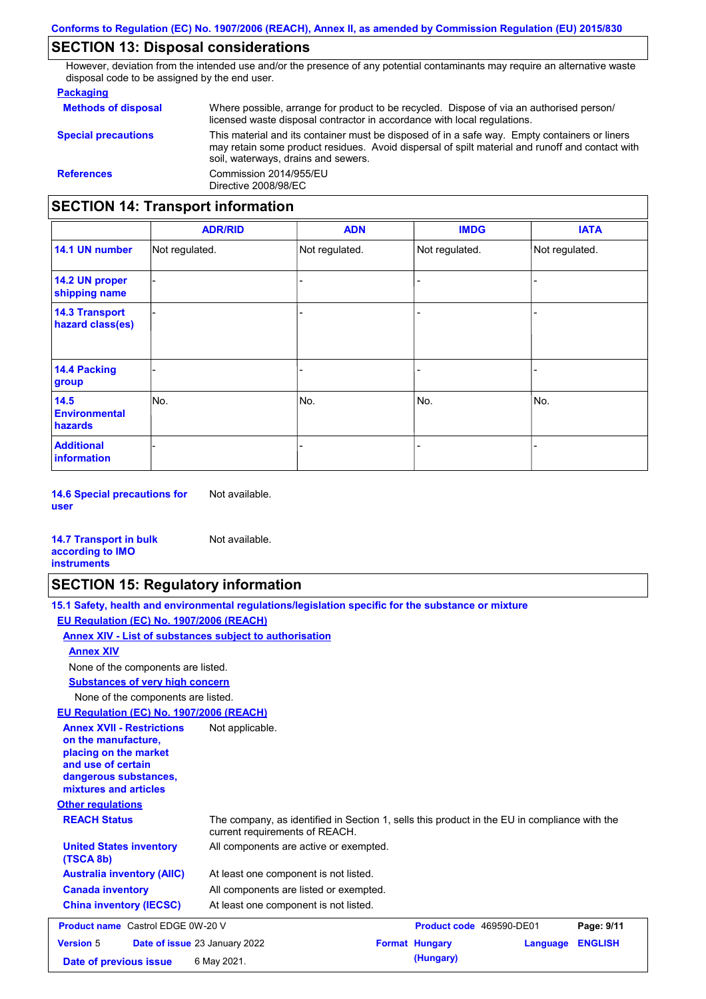## **SECTION 13: Disposal considerations**

However, deviation from the intended use and/or the presence of any potential contaminants may require an alternative waste disposal code to be assigned by the end user.

#### **Packaging**

| <b>Methods of disposal</b>               | Where possible, arrange for product to be recycled. Dispose of via an authorised person/<br>licensed waste disposal contractor in accordance with local regulations.                                                                    |
|------------------------------------------|-----------------------------------------------------------------------------------------------------------------------------------------------------------------------------------------------------------------------------------------|
| <b>Special precautions</b>               | This material and its container must be disposed of in a safe way. Empty containers or liners<br>may retain some product residues. Avoid dispersal of spilt material and runoff and contact with<br>soil, waterways, drains and sewers. |
| <b>References</b>                        | Commission 2014/955/EU<br>Directive 2008/98/EC                                                                                                                                                                                          |
| <b>SECTION 14: Transport information</b> |                                                                                                                                                                                                                                         |

#### - - - - - - - - - Not regulated. Not regulated. Not regulated. - - - **ADR/RID IMDG IATA 14.1 UN number 14.2 UN proper shipping name 14.3 Transport hazard class(es) 14.4 Packing group ADN Additional information 14.5 Environmental hazards** No. 1980 | No. 1980 | No. 1980 | No. 1980 | No. 1980 | No. 1980 | No. 1980 | No. 1980 | No. 1980 | No. 1980 | Not regulated. - No. - -

**14.6 Special precautions for user** Not available.

#### **14.7 Transport in bulk according to IMO instruments**

## **SECTION 15: Regulatory information**

Not available.

|                                                                                                                                                          | 15.1 Safety, health and environmental regulations/legislation specific for the substance or mixture                            |                          |          |                |
|----------------------------------------------------------------------------------------------------------------------------------------------------------|--------------------------------------------------------------------------------------------------------------------------------|--------------------------|----------|----------------|
| EU Regulation (EC) No. 1907/2006 (REACH)                                                                                                                 |                                                                                                                                |                          |          |                |
|                                                                                                                                                          | Annex XIV - List of substances subject to authorisation                                                                        |                          |          |                |
| <b>Annex XIV</b>                                                                                                                                         |                                                                                                                                |                          |          |                |
| None of the components are listed.                                                                                                                       |                                                                                                                                |                          |          |                |
| <b>Substances of very high concern</b>                                                                                                                   |                                                                                                                                |                          |          |                |
| None of the components are listed.                                                                                                                       |                                                                                                                                |                          |          |                |
| EU Regulation (EC) No. 1907/2006 (REACH)                                                                                                                 |                                                                                                                                |                          |          |                |
| <b>Annex XVII - Restrictions</b><br>on the manufacture.<br>placing on the market<br>and use of certain<br>dangerous substances,<br>mixtures and articles | Not applicable.                                                                                                                |                          |          |                |
| <b>Other regulations</b>                                                                                                                                 |                                                                                                                                |                          |          |                |
| <b>REACH Status</b>                                                                                                                                      | The company, as identified in Section 1, sells this product in the EU in compliance with the<br>current requirements of REACH. |                          |          |                |
| <b>United States inventory</b><br>(TSCA 8b)                                                                                                              | All components are active or exempted.                                                                                         |                          |          |                |
| <b>Australia inventory (AIIC)</b>                                                                                                                        | At least one component is not listed.                                                                                          |                          |          |                |
| <b>Canada inventory</b>                                                                                                                                  | All components are listed or exempted.                                                                                         |                          |          |                |
| <b>China inventory (IECSC)</b>                                                                                                                           | At least one component is not listed.                                                                                          |                          |          |                |
| <b>Product name</b> Castrol EDGE 0W-20 V                                                                                                                 |                                                                                                                                | Product code 469590-DE01 |          | Page: 9/11     |
| <b>Version 5</b>                                                                                                                                         | Date of issue 23 January 2022                                                                                                  | <b>Format Hungary</b>    | Language | <b>ENGLISH</b> |
| Date of previous issue                                                                                                                                   | 6 May 2021.                                                                                                                    | (Hungary)                |          |                |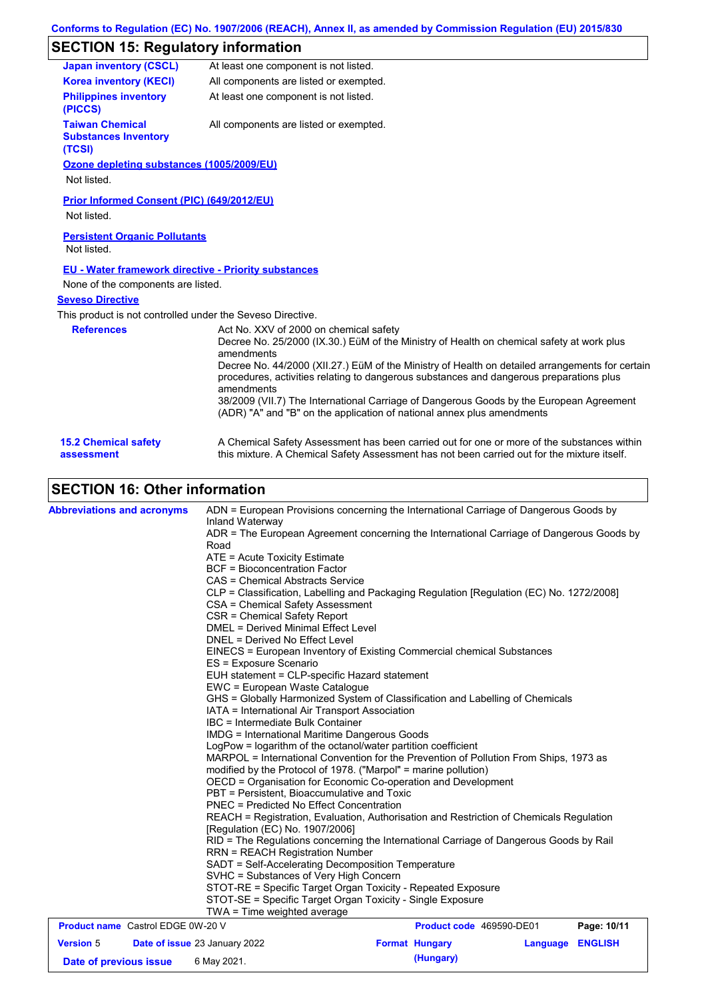## **SECTION 15: Regulatory information**

| <b>Japan inventory (CSCL)</b>                                   | At least one component is not listed.                                                                                                                                                                                                                                                                                                                                                                                                                                                                                              |
|-----------------------------------------------------------------|------------------------------------------------------------------------------------------------------------------------------------------------------------------------------------------------------------------------------------------------------------------------------------------------------------------------------------------------------------------------------------------------------------------------------------------------------------------------------------------------------------------------------------|
| <b>Korea inventory (KECI)</b>                                   | All components are listed or exempted.                                                                                                                                                                                                                                                                                                                                                                                                                                                                                             |
| <b>Philippines inventory</b><br>(PICCS)                         | At least one component is not listed.                                                                                                                                                                                                                                                                                                                                                                                                                                                                                              |
| <b>Taiwan Chemical</b><br><b>Substances Inventory</b><br>(TCSI) | All components are listed or exempted.                                                                                                                                                                                                                                                                                                                                                                                                                                                                                             |
| Ozone depleting substances (1005/2009/EU)                       |                                                                                                                                                                                                                                                                                                                                                                                                                                                                                                                                    |
| Not listed.                                                     |                                                                                                                                                                                                                                                                                                                                                                                                                                                                                                                                    |
| Prior Informed Consent (PIC) (649/2012/EU)<br>Not listed.       |                                                                                                                                                                                                                                                                                                                                                                                                                                                                                                                                    |
| <b>Persistent Organic Pollutants</b><br>Not listed.             |                                                                                                                                                                                                                                                                                                                                                                                                                                                                                                                                    |
| <b>EU - Water framework directive - Priority substances</b>     |                                                                                                                                                                                                                                                                                                                                                                                                                                                                                                                                    |
| None of the components are listed.                              |                                                                                                                                                                                                                                                                                                                                                                                                                                                                                                                                    |
| <b>Seveso Directive</b>                                         |                                                                                                                                                                                                                                                                                                                                                                                                                                                                                                                                    |
| This product is not controlled under the Seveso Directive.      |                                                                                                                                                                                                                                                                                                                                                                                                                                                                                                                                    |
| <b>References</b>                                               | Act No. XXV of 2000 on chemical safety<br>Decree No. 25/2000 (IX.30.) EüM of the Ministry of Health on chemical safety at work plus<br>amendments<br>Decree No. 44/2000 (XII.27.) EüM of the Ministry of Health on detailed arrangements for certain<br>procedures, activities relating to dangerous substances and dangerous preparations plus<br>amendments<br>38/2009 (VII.7) The International Carriage of Dangerous Goods by the European Agreement<br>(ADR) "A" and "B" on the application of national annex plus amendments |
| <b>15.2 Chemical safety</b><br>assessment                       | A Chemical Safety Assessment has been carried out for one or more of the substances within<br>this mixture. A Chemical Safety Assessment has not been carried out for the mixture itself.                                                                                                                                                                                                                                                                                                                                          |

## **SECTION 16: Other information**

| <b>Abbreviations and acronyms</b>        |                                  | ADN = European Provisions concerning the International Carriage of Dangerous Goods by                                                                                                                                                                                                                                  |                          |                  |             |  |  |
|------------------------------------------|----------------------------------|------------------------------------------------------------------------------------------------------------------------------------------------------------------------------------------------------------------------------------------------------------------------------------------------------------------------|--------------------------|------------------|-------------|--|--|
|                                          |                                  | Inland Waterway                                                                                                                                                                                                                                                                                                        |                          |                  |             |  |  |
|                                          |                                  | ADR = The European Agreement concerning the International Carriage of Dangerous Goods by<br>Road                                                                                                                                                                                                                       |                          |                  |             |  |  |
|                                          |                                  | ATE = Acute Toxicity Estimate                                                                                                                                                                                                                                                                                          |                          |                  |             |  |  |
|                                          |                                  | <b>BCF</b> = Bioconcentration Factor                                                                                                                                                                                                                                                                                   |                          |                  |             |  |  |
|                                          | CAS = Chemical Abstracts Service |                                                                                                                                                                                                                                                                                                                        |                          |                  |             |  |  |
|                                          |                                  | CLP = Classification, Labelling and Packaging Regulation [Regulation (EC) No. 1272/2008]                                                                                                                                                                                                                               |                          |                  |             |  |  |
|                                          |                                  | CSA = Chemical Safety Assessment                                                                                                                                                                                                                                                                                       |                          |                  |             |  |  |
|                                          |                                  | CSR = Chemical Safety Report                                                                                                                                                                                                                                                                                           |                          |                  |             |  |  |
|                                          |                                  | <b>DMEL = Derived Minimal Effect Level</b>                                                                                                                                                                                                                                                                             |                          |                  |             |  |  |
|                                          |                                  | DNEL = Derived No Effect Level                                                                                                                                                                                                                                                                                         |                          |                  |             |  |  |
|                                          |                                  | EINECS = European Inventory of Existing Commercial chemical Substances                                                                                                                                                                                                                                                 |                          |                  |             |  |  |
|                                          |                                  | ES = Exposure Scenario                                                                                                                                                                                                                                                                                                 |                          |                  |             |  |  |
|                                          |                                  | EUH statement = CLP-specific Hazard statement                                                                                                                                                                                                                                                                          |                          |                  |             |  |  |
|                                          |                                  | EWC = European Waste Catalogue                                                                                                                                                                                                                                                                                         |                          |                  |             |  |  |
|                                          |                                  | GHS = Globally Harmonized System of Classification and Labelling of Chemicals                                                                                                                                                                                                                                          |                          |                  |             |  |  |
|                                          |                                  | IATA = International Air Transport Association                                                                                                                                                                                                                                                                         |                          |                  |             |  |  |
|                                          |                                  | IBC = Intermediate Bulk Container<br><b>IMDG</b> = International Maritime Dangerous Goods<br>LogPow = logarithm of the octanol/water partition coefficient<br>MARPOL = International Convention for the Prevention of Pollution From Ships, 1973 as<br>modified by the Protocol of 1978. ("Marpol" = marine pollution) |                          |                  |             |  |  |
|                                          |                                  |                                                                                                                                                                                                                                                                                                                        |                          |                  |             |  |  |
|                                          |                                  |                                                                                                                                                                                                                                                                                                                        |                          |                  |             |  |  |
|                                          |                                  |                                                                                                                                                                                                                                                                                                                        |                          |                  |             |  |  |
|                                          |                                  |                                                                                                                                                                                                                                                                                                                        |                          |                  |             |  |  |
|                                          |                                  | OECD = Organisation for Economic Co-operation and Development                                                                                                                                                                                                                                                          |                          |                  |             |  |  |
|                                          |                                  | PBT = Persistent, Bioaccumulative and Toxic                                                                                                                                                                                                                                                                            |                          |                  |             |  |  |
|                                          |                                  | <b>PNEC = Predicted No Effect Concentration</b><br>REACH = Registration, Evaluation, Authorisation and Restriction of Chemicals Regulation                                                                                                                                                                             |                          |                  |             |  |  |
|                                          |                                  |                                                                                                                                                                                                                                                                                                                        |                          |                  |             |  |  |
|                                          |                                  | [Regulation (EC) No. 1907/2006]                                                                                                                                                                                                                                                                                        |                          |                  |             |  |  |
|                                          |                                  | RID = The Regulations concerning the International Carriage of Dangerous Goods by Rail<br><b>RRN = REACH Registration Number</b>                                                                                                                                                                                       |                          |                  |             |  |  |
|                                          |                                  |                                                                                                                                                                                                                                                                                                                        |                          |                  |             |  |  |
|                                          |                                  | SADT = Self-Accelerating Decomposition Temperature<br>SVHC = Substances of Very High Concern                                                                                                                                                                                                                           |                          |                  |             |  |  |
|                                          |                                  | STOT-RE = Specific Target Organ Toxicity - Repeated Exposure                                                                                                                                                                                                                                                           |                          |                  |             |  |  |
|                                          |                                  | STOT-SE = Specific Target Organ Toxicity - Single Exposure                                                                                                                                                                                                                                                             |                          |                  |             |  |  |
|                                          |                                  | $TWA = Time$ weighted average                                                                                                                                                                                                                                                                                          |                          |                  |             |  |  |
| <b>Product name</b> Castrol EDGE 0W-20 V |                                  |                                                                                                                                                                                                                                                                                                                        | Product code 469590-DE01 |                  | Page: 10/11 |  |  |
| <b>Version</b> 5                         |                                  | Date of issue 23 January 2022                                                                                                                                                                                                                                                                                          | <b>Format Hungary</b>    | Language ENGLISH |             |  |  |
| Date of previous issue                   |                                  | 6 May 2021.                                                                                                                                                                                                                                                                                                            | (Hungary)                |                  |             |  |  |